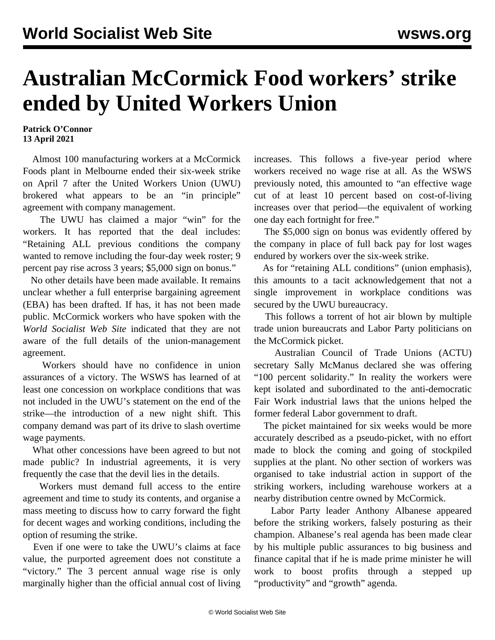## **Australian McCormick Food workers' strike ended by United Workers Union**

**Patrick O'Connor 13 April 2021**

 Almost 100 manufacturing workers at a McCormick Foods plant in Melbourne ended their six-week strike on April 7 after the United Workers Union (UWU) brokered what appears to be an "in principle" agreement with company management.

 The UWU has claimed a major "win" for the workers. It has reported that the deal includes: "Retaining ALL previous conditions the company wanted to remove including the four-day week roster; 9 percent pay rise across 3 years; \$5,000 sign on bonus."

 No other details have been made available. It remains unclear whether a full enterprise bargaining agreement (EBA) has been drafted. If has, it has not been made public. McCormick workers who have spoken with the *World Socialist Web Site* indicated that they are not aware of the full details of the union-management agreement.

 Workers should have no confidence in union assurances of a victory. The WSWS has learned of at least one concession on workplace conditions that was not included in the UWU's statement on the end of the strike—the introduction of a new night shift. This company demand was part of its drive to slash overtime wage payments.

 What other concessions have been agreed to but not made public? In industrial agreements, it is very frequently the case that the devil lies in the details.

 Workers must demand full access to the entire agreement and time to study its contents, and organise a mass meeting to discuss how to carry forward the fight for decent wages and working conditions, including the option of resuming the strike.

 Even if one were to take the UWU's claims at face value, the purported agreement does not constitute a "victory." The 3 percent annual wage rise is only marginally higher than the official annual cost of living increases. This follows a five-year period where workers received no wage rise at all. As the WSWS [previously noted](/en/articles/2021/03/06/mcco-m06.html), this amounted to "an effective wage cut of at least 10 percent based on cost-of-living increases over that period—the equivalent of working one day each fortnight for free."

 The \$5,000 sign on bonus was evidently offered by the company in place of full back pay for lost wages endured by workers over the six-week strike.

 As for "retaining ALL conditions" (union emphasis), this amounts to a tacit acknowledgement that not a single improvement in workplace conditions was secured by the UWU bureaucracy.

 This follows a torrent of hot air blown by multiple trade union bureaucrats and Labor Party politicians on the McCormick picket.

 Australian Council of Trade Unions (ACTU) secretary Sally McManus declared she was offering "100 percent solidarity." In reality the workers were kept isolated and subordinated to the anti-democratic Fair Work industrial laws that the unions helped the former federal Labor government to draft.

 The picket maintained for six weeks would be more accurately described as a pseudo-picket, with no effort made to block the coming and going of stockpiled supplies at the plant. No other section of workers was organised to take industrial action in support of the striking workers, including warehouse workers at a nearby distribution centre owned by McCormick.

 Labor Party leader Anthony Albanese appeared before the striking workers, falsely posturing as their champion. Albanese's real agenda has been made clear by his multiple public assurances to big business and finance capital that if he is made prime minister he will work to boost profits through a stepped up "productivity" and "growth" agenda.